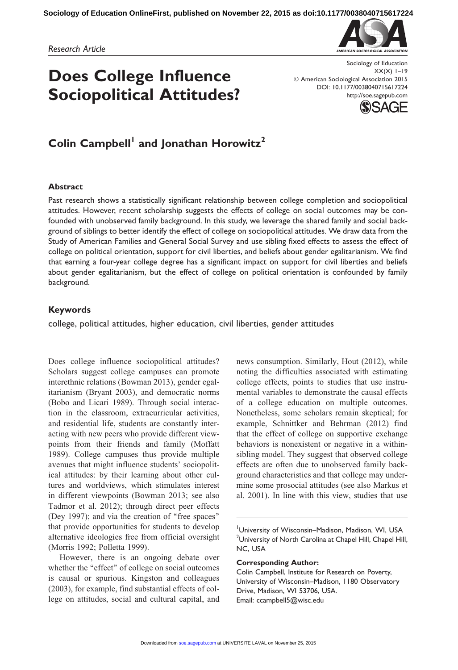Research Article



# Does College Influence Sociopolitical Attitudes?

Sociology of Education XX(X) 1–19  $\oslash$  American Sociological Association 2015 DOI: 10.1177/0038040715617224 http://soe.sagepub.com



# Colin Campbell<sup>1</sup> and Jonathan Horowitz<sup>2</sup>

#### **Abstract**

Past research shows a statistically significant relationship between college completion and sociopolitical attitudes. However, recent scholarship suggests the effects of college on social outcomes may be confounded with unobserved family background. In this study, we leverage the shared family and social background of siblings to better identify the effect of college on sociopolitical attitudes. We draw data from the Study of American Families and General Social Survey and use sibling fixed effects to assess the effect of college on political orientation, support for civil liberties, and beliefs about gender egalitarianism. We find that earning a four-year college degree has a significant impact on support for civil liberties and beliefs about gender egalitarianism, but the effect of college on political orientation is confounded by family background.

#### Keywords

college, political attitudes, higher education, civil liberties, gender attitudes

Does college influence sociopolitical attitudes? Scholars suggest college campuses can promote interethnic relations (Bowman 2013), gender egalitarianism (Bryant 2003), and democratic norms (Bobo and Licari 1989). Through social interaction in the classroom, extracurricular activities, and residential life, students are constantly interacting with new peers who provide different viewpoints from their friends and family (Moffatt 1989). College campuses thus provide multiple avenues that might influence students' sociopolitical attitudes: by their learning about other cultures and worldviews, which stimulates interest in different viewpoints (Bowman 2013; see also Tadmor et al. 2012); through direct peer effects (Dey 1997); and via the creation of "free spaces" that provide opportunities for students to develop alternative ideologies free from official oversight (Morris 1992; Polletta 1999).

However, there is an ongoing debate over whether the "effect" of college on social outcomes is causal or spurious. Kingston and colleagues (2003), for example, find substantial effects of college on attitudes, social and cultural capital, and news consumption. Similarly, Hout (2012), while noting the difficulties associated with estimating college effects, points to studies that use instrumental variables to demonstrate the causal effects of a college education on multiple outcomes. Nonetheless, some scholars remain skeptical; for example, Schnittker and Behrman (2012) find that the effect of college on supportive exchange behaviors is nonexistent or negative in a withinsibling model. They suggest that observed college effects are often due to unobserved family background characteristics and that college may undermine some prosocial attitudes (see also Markus et al. 2001). In line with this view, studies that use

<sup>1</sup>University of Wisconsin–Madison, Madison, WI, USA <sup>2</sup>University of North Carolina at Chapel Hill, Chapel Hill, NC, USA

#### Corresponding Author:

Colin Campbell, Institute for Research on Poverty, University of Wisconsin–Madison, 1180 Observatory Drive, Madison, WI 53706, USA. Email: ccampbell5@wisc.edu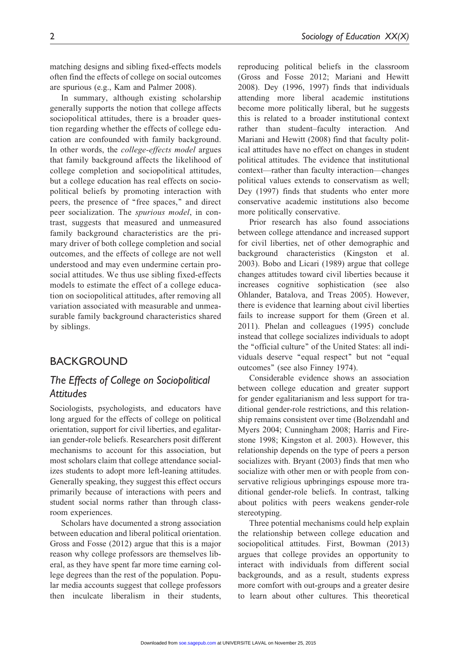matching designs and sibling fixed-effects models often find the effects of college on social outcomes are spurious (e.g., Kam and Palmer 2008).

In summary, although existing scholarship generally supports the notion that college affects sociopolitical attitudes, there is a broader question regarding whether the effects of college education are confounded with family background. In other words, the college-effects model argues that family background affects the likelihood of college completion and sociopolitical attitudes, but a college education has real effects on sociopolitical beliefs by promoting interaction with peers, the presence of ''free spaces,'' and direct peer socialization. The *spurious model*, in contrast, suggests that measured and unmeasured family background characteristics are the primary driver of both college completion and social outcomes, and the effects of college are not well understood and may even undermine certain prosocial attitudes. We thus use sibling fixed-effects models to estimate the effect of a college education on sociopolitical attitudes, after removing all variation associated with measurable and unmeasurable family background characteristics shared by siblings.

## BACKGROUND

# The Effects of College on Sociopolitical Attitudes

Sociologists, psychologists, and educators have long argued for the effects of college on political orientation, support for civil liberties, and egalitarian gender-role beliefs. Researchers posit different mechanisms to account for this association, but most scholars claim that college attendance socializes students to adopt more left-leaning attitudes. Generally speaking, they suggest this effect occurs primarily because of interactions with peers and student social norms rather than through classroom experiences.

Scholars have documented a strong association between education and liberal political orientation. Gross and Fosse (2012) argue that this is a major reason why college professors are themselves liberal, as they have spent far more time earning college degrees than the rest of the population. Popular media accounts suggest that college professors then inculcate liberalism in their students, reproducing political beliefs in the classroom (Gross and Fosse 2012; Mariani and Hewitt 2008). Dey (1996, 1997) finds that individuals attending more liberal academic institutions become more politically liberal, but he suggests this is related to a broader institutional context rather than student–faculty interaction. And Mariani and Hewitt (2008) find that faculty political attitudes have no effect on changes in student political attitudes. The evidence that institutional context—rather than faculty interaction—changes political values extends to conservatism as well; Dey (1997) finds that students who enter more conservative academic institutions also become more politically conservative.

Prior research has also found associations between college attendance and increased support for civil liberties, net of other demographic and background characteristics (Kingston et al. 2003). Bobo and Licari (1989) argue that college changes attitudes toward civil liberties because it increases cognitive sophistication (see also Ohlander, Batalova, and Treas 2005). However, there is evidence that learning about civil liberties fails to increase support for them (Green et al. 2011). Phelan and colleagues (1995) conclude instead that college socializes individuals to adopt the "official culture" of the United States: all individuals deserve "equal respect" but not "equal outcomes'' (see also Finney 1974).

Considerable evidence shows an association between college education and greater support for gender egalitarianism and less support for traditional gender-role restrictions, and this relationship remains consistent over time (Bolzendahl and Myers 2004; Cunningham 2008; Harris and Firestone 1998; Kingston et al. 2003). However, this relationship depends on the type of peers a person socializes with. Bryant (2003) finds that men who socialize with other men or with people from conservative religious upbringings espouse more traditional gender-role beliefs. In contrast, talking about politics with peers weakens gender-role stereotyping.

Three potential mechanisms could help explain the relationship between college education and sociopolitical attitudes. First, Bowman (2013) argues that college provides an opportunity to interact with individuals from different social backgrounds, and as a result, students express more comfort with out-groups and a greater desire to learn about other cultures. This theoretical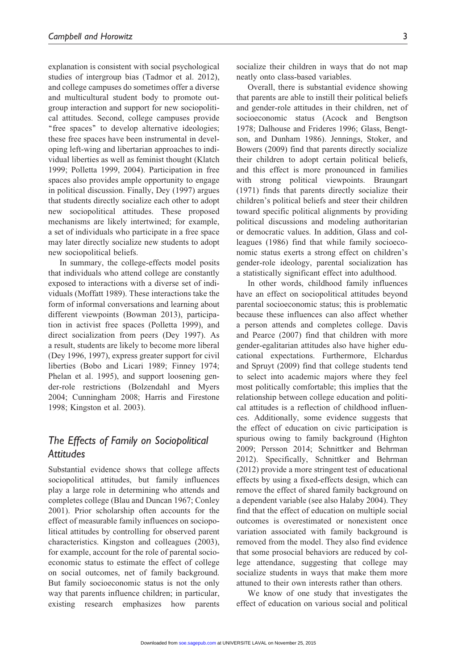explanation is consistent with social psychological studies of intergroup bias (Tadmor et al. 2012), and college campuses do sometimes offer a diverse and multicultural student body to promote outgroup interaction and support for new sociopolitical attitudes. Second, college campuses provide "free spaces" to develop alternative ideologies; these free spaces have been instrumental in developing left-wing and libertarian approaches to individual liberties as well as feminist thought (Klatch 1999; Polletta 1999, 2004). Participation in free spaces also provides ample opportunity to engage in political discussion. Finally, Dey (1997) argues that students directly socialize each other to adopt new sociopolitical attitudes. These proposed mechanisms are likely intertwined; for example, a set of individuals who participate in a free space may later directly socialize new students to adopt new sociopolitical beliefs.

In summary, the college-effects model posits that individuals who attend college are constantly exposed to interactions with a diverse set of individuals (Moffatt 1989). These interactions take the form of informal conversations and learning about different viewpoints (Bowman 2013), participation in activist free spaces (Polletta 1999), and direct socialization from peers (Dey 1997). As a result, students are likely to become more liberal (Dey 1996, 1997), express greater support for civil liberties (Bobo and Licari 1989; Finney 1974; Phelan et al. 1995), and support loosening gender-role restrictions (Bolzendahl and Myers 2004; Cunningham 2008; Harris and Firestone 1998; Kingston et al. 2003).

## The Effects of Family on Sociopolitical **Attitudes**

Substantial evidence shows that college affects sociopolitical attitudes, but family influences play a large role in determining who attends and completes college (Blau and Duncan 1967; Conley 2001). Prior scholarship often accounts for the effect of measurable family influences on sociopolitical attitudes by controlling for observed parent characteristics. Kingston and colleagues (2003), for example, account for the role of parental socioeconomic status to estimate the effect of college on social outcomes, net of family background. But family socioeconomic status is not the only way that parents influence children; in particular, existing research emphasizes how parents

socialize their children in ways that do not map neatly onto class-based variables.

Overall, there is substantial evidence showing that parents are able to instill their political beliefs and gender-role attitudes in their children, net of socioeconomic status (Acock and Bengtson 1978; Dalhouse and Frideres 1996; Glass, Bengtson, and Dunham 1986). Jennings, Stoker, and Bowers (2009) find that parents directly socialize their children to adopt certain political beliefs, and this effect is more pronounced in families with strong political viewpoints. Braungart (1971) finds that parents directly socialize their children's political beliefs and steer their children toward specific political alignments by providing political discussions and modeling authoritarian or democratic values. In addition, Glass and colleagues (1986) find that while family socioeconomic status exerts a strong effect on children's gender-role ideology, parental socialization has a statistically significant effect into adulthood.

In other words, childhood family influences have an effect on sociopolitical attitudes beyond parental socioeconomic status; this is problematic because these influences can also affect whether a person attends and completes college. Davis and Pearce (2007) find that children with more gender-egalitarian attitudes also have higher educational expectations. Furthermore, Elchardus and Spruyt (2009) find that college students tend to select into academic majors where they feel most politically comfortable; this implies that the relationship between college education and political attitudes is a reflection of childhood influences. Additionally, some evidence suggests that the effect of education on civic participation is spurious owing to family background (Highton 2009; Persson 2014; Schnittker and Behrman 2012). Specifically, Schnittker and Behrman (2012) provide a more stringent test of educational effects by using a fixed-effects design, which can remove the effect of shared family background on a dependent variable (see also Halaby 2004). They find that the effect of education on multiple social outcomes is overestimated or nonexistent once variation associated with family background is removed from the model. They also find evidence that some prosocial behaviors are reduced by college attendance, suggesting that college may socialize students in ways that make them more attuned to their own interests rather than others.

We know of one study that investigates the effect of education on various social and political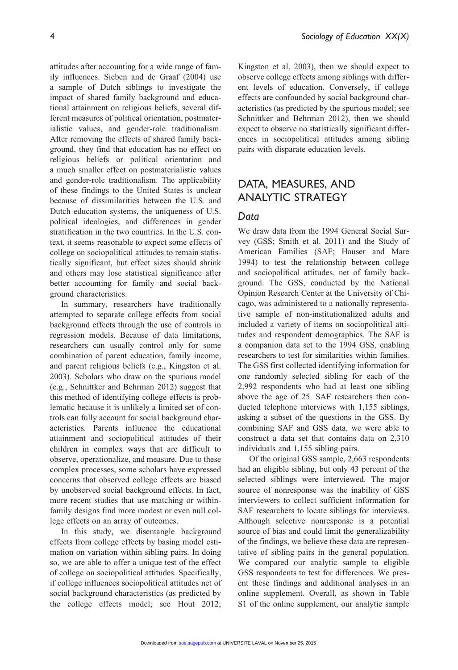attitudes after accounting for a wide range of family influences. Sieben and de Graaf (2004) use a sample of Dutch siblings to investigate the impact of shared family background and educational attainment on religious beliefs, several different measures of political orientation, postmaterialistic values, and gender-role traditionalism. After removing the effects of shared family background, they find that education has no effect on religious beliefs or political orientation and a much smaller effect on postmaterialistic values and gender-role traditionalism. The applicability of these findings to the United States is unclear because of dissimilarities between the U.S. and Dutch education systems, the uniqueness of U.S. political ideologies, and differences in gender stratification in the two countries. In the U.S. context, it seems reasonable to expect some effects of college on sociopolitical attitudes to remain statistically significant, but effect sizes should shrink and others may lose statistical significance after better accounting for family and social background characteristics.

In summary, researchers have traditionally attempted to separate college effects from social background effects through the use of controls in regression models. Because of data limitations, researchers can usually control only for some combination of parent education, family income, and parent religious beliefs (e.g., Kingston et al. 2003). Scholars who draw on the spurious model (e.g., Schnittker and Behrman 2012) suggest that this method of identifying college effects is problematic because it is unlikely a limited set of controls can fully account for social background characteristics. Parents influence the educational attainment and sociopolitical attitudes of their children in complex ways that are difficult to observe, operationalize, and measure. Due to these complex processes, some scholars have expressed concerns that observed college effects are biased by unobserved social background effects. In fact, more recent studies that use matching or withinfamily designs find more modest or even null college effects on an array of outcomes.

In this study, we disentangle background effects from college effects by basing model estimation on variation within sibling pairs. In doing so, we are able to offer a unique test of the effect of college on sociopolitical attitudes. Specifically, if college influences sociopolitical attitudes net of social background characteristics (as predicted by the college effects model; see Hout 2012;

Kingston et al. 2003), then we should expect to observe college effects among siblings with different levels of education. Conversely, if college effects are confounded by social background characteristics (as predicted by the spurious model; see Schnittker and Behrman 2012), then we should expect to observe no statistically significant differences in sociopolitical attitudes among sibling pairs with disparate education levels.

# DATA, MEASURES, AND ANALYTIC STRATEGY

#### Data

We draw data from the 1994 General Social Survey (GSS; Smith et al. 2011) and the Study of American Families (SAF; Hauser and Mare 1994) to test the relationship between college and sociopolitical attitudes, net of family background. The GSS, conducted by the National Opinion Research Center at the University of Chicago, was administered to a nationally representative sample of non-institutionalized adults and included a variety of items on sociopolitical attitudes and respondent demographics. The SAF is a companion data set to the 1994 GSS, enabling researchers to test for similarities within families. The GSS first collected identifying information for one randomly selected sibling for each of the 2,992 respondents who had at least one sibling above the age of 25. SAF researchers then conducted telephone interviews with 1,155 siblings, asking a subset of the questions in the GSS. By combining SAF and GSS data, we were able to construct a data set that contains data on 2,310 individuals and 1,155 sibling pairs.

Of the original GSS sample, 2,663 respondents had an eligible sibling, but only 43 percent of the selected siblings were interviewed. The major source of nonresponse was the inability of GSS interviewers to collect sufficient information for SAF researchers to locate siblings for interviews. Although selective nonresponse is a potential source of bias and could limit the generalizability of the findings, we believe these data are representative of sibling pairs in the general population. We compared our analytic sample to eligible GSS respondents to test for differences. We present these findings and additional analyses in an online supplement. Overall, as shown in Table S1 of the online supplement, our analytic sample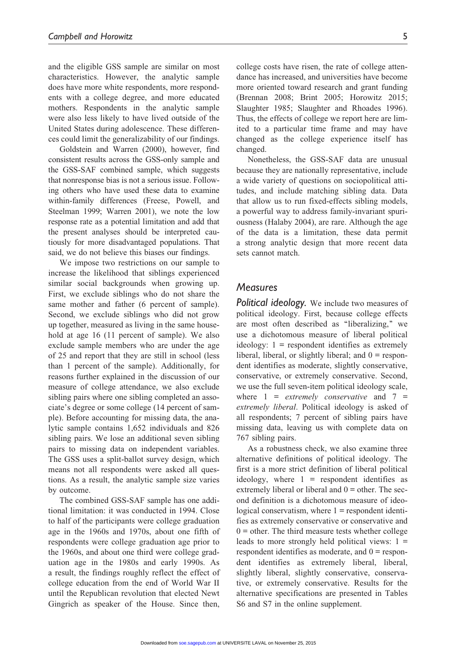and the eligible GSS sample are similar on most characteristics. However, the analytic sample does have more white respondents, more respondents with a college degree, and more educated mothers. Respondents in the analytic sample were also less likely to have lived outside of the United States during adolescence. These differences could limit the generalizability of our findings.

Goldstein and Warren (2000), however, find consistent results across the GSS-only sample and the GSS-SAF combined sample, which suggests that nonresponse bias is not a serious issue. Following others who have used these data to examine within-family differences (Freese, Powell, and Steelman 1999; Warren 2001), we note the low response rate as a potential limitation and add that the present analyses should be interpreted cautiously for more disadvantaged populations. That said, we do not believe this biases our findings.

We impose two restrictions on our sample to increase the likelihood that siblings experienced similar social backgrounds when growing up. First, we exclude siblings who do not share the same mother and father (6 percent of sample). Second, we exclude siblings who did not grow up together, measured as living in the same household at age 16 (11 percent of sample). We also exclude sample members who are under the age of 25 and report that they are still in school (less than 1 percent of the sample). Additionally, for reasons further explained in the discussion of our measure of college attendance, we also exclude sibling pairs where one sibling completed an associate's degree or some college (14 percent of sample). Before accounting for missing data, the analytic sample contains 1,652 individuals and 826 sibling pairs. We lose an additional seven sibling pairs to missing data on independent variables. The GSS uses a split-ballot survey design, which means not all respondents were asked all questions. As a result, the analytic sample size varies by outcome.

The combined GSS-SAF sample has one additional limitation: it was conducted in 1994. Close to half of the participants were college graduation age in the 1960s and 1970s, about one fifth of respondents were college graduation age prior to the 1960s, and about one third were college graduation age in the 1980s and early 1990s. As a result, the findings roughly reflect the effect of college education from the end of World War II until the Republican revolution that elected Newt Gingrich as speaker of the House. Since then,

college costs have risen, the rate of college attendance has increased, and universities have become more oriented toward research and grant funding (Brennan 2008; Brint 2005; Horowitz 2015; Slaughter 1985; Slaughter and Rhoades 1996). Thus, the effects of college we report here are limited to a particular time frame and may have changed as the college experience itself has changed.

Nonetheless, the GSS-SAF data are unusual because they are nationally representative, include a wide variety of questions on sociopolitical attitudes, and include matching sibling data. Data that allow us to run fixed-effects sibling models, a powerful way to address family-invariant spuriousness (Halaby 2004), are rare. Although the age of the data is a limitation, these data permit a strong analytic design that more recent data sets cannot match.

### **Measures**

Political ideology. We include two measures of political ideology. First, because college effects are most often described as ''liberalizing,'' we use a dichotomous measure of liberal political ideology: 1 = respondent identifies as extremely liberal, liberal, or slightly liberal; and  $0 =$  respondent identifies as moderate, slightly conservative, conservative, or extremely conservative. Second, we use the full seven-item political ideology scale, where  $1$  = *extremely conservative* and  $7$  = extremely liberal. Political ideology is asked of all respondents; 7 percent of sibling pairs have missing data, leaving us with complete data on 767 sibling pairs.

As a robustness check, we also examine three alternative definitions of political ideology. The first is a more strict definition of liberal political ideology, where  $1$  = respondent identifies as extremely liberal or liberal and  $0 =$  other. The second definition is a dichotomous measure of ideological conservatism, where  $1 =$  respondent identifies as extremely conservative or conservative and  $0 =$  other. The third measure tests whether college leads to more strongly held political views:  $1 =$ respondent identifies as moderate, and 0 = respondent identifies as extremely liberal, liberal, slightly liberal, slightly conservative, conservative, or extremely conservative. Results for the alternative specifications are presented in Tables S6 and S7 in the online supplement.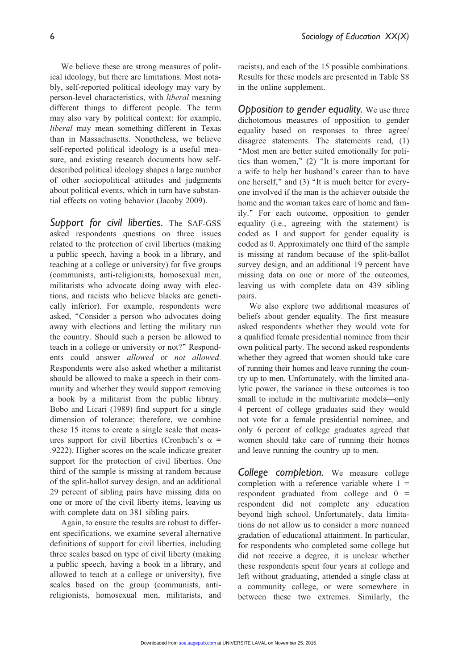We believe these are strong measures of political ideology, but there are limitations. Most notably, self-reported political ideology may vary by person-level characteristics, with *liberal* meaning different things to different people. The term may also vary by political context: for example, liberal may mean something different in Texas than in Massachusetts. Nonetheless, we believe self-reported political ideology is a useful measure, and existing research documents how selfdescribed political ideology shapes a large number of other sociopolitical attitudes and judgments about political events, which in turn have substantial effects on voting behavior (Jacoby 2009).

Support for civil liberties. The SAF-GSS asked respondents questions on three issues related to the protection of civil liberties (making a public speech, having a book in a library, and teaching at a college or university) for five groups (communists, anti-religionists, homosexual men, militarists who advocate doing away with elections, and racists who believe blacks are genetically inferior). For example, respondents were asked, "Consider a person who advocates doing away with elections and letting the military run the country. Should such a person be allowed to teach in a college or university or not?'' Respondents could answer allowed or not allowed. Respondents were also asked whether a militarist should be allowed to make a speech in their community and whether they would support removing a book by a militarist from the public library. Bobo and Licari (1989) find support for a single dimension of tolerance; therefore, we combine these 15 items to create a single scale that measures support for civil liberties (Cronbach's  $\alpha$  = .9222). Higher scores on the scale indicate greater support for the protection of civil liberties. One third of the sample is missing at random because of the split-ballot survey design, and an additional 29 percent of sibling pairs have missing data on one or more of the civil liberty items, leaving us with complete data on 381 sibling pairs.

Again, to ensure the results are robust to different specifications, we examine several alternative definitions of support for civil liberties, including three scales based on type of civil liberty (making a public speech, having a book in a library, and allowed to teach at a college or university), five scales based on the group (communists, antireligionists, homosexual men, militarists, and racists), and each of the 15 possible combinations. Results for these models are presented in Table S8 in the online supplement.

**Opposition to gender equality.** We use three dichotomous measures of opposition to gender equality based on responses to three agree/ disagree statements. The statements read, (1) ''Most men are better suited emotionally for politics than women," (2) "It is more important for a wife to help her husband's career than to have one herself," and (3) "It is much better for everyone involved if the man is the achiever outside the home and the woman takes care of home and family.'' For each outcome, opposition to gender equality (i.e., agreeing with the statement) is coded as 1 and support for gender equality is coded as 0. Approximately one third of the sample is missing at random because of the split-ballot survey design, and an additional 19 percent have missing data on one or more of the outcomes, leaving us with complete data on 439 sibling pairs.

We also explore two additional measures of beliefs about gender equality. The first measure asked respondents whether they would vote for a qualified female presidential nominee from their own political party. The second asked respondents whether they agreed that women should take care of running their homes and leave running the country up to men. Unfortunately, with the limited analytic power, the variance in these outcomes is too small to include in the multivariate models—only 4 percent of college graduates said they would not vote for a female presidential nominee, and only 6 percent of college graduates agreed that women should take care of running their homes and leave running the country up to men.

College completion. We measure college completion with a reference variable where  $1 =$ respondent graduated from college and  $0 =$ respondent did not complete any education beyond high school. Unfortunately, data limitations do not allow us to consider a more nuanced gradation of educational attainment. In particular, for respondents who completed some college but did not receive a degree, it is unclear whether these respondents spent four years at college and left without graduating, attended a single class at a community college, or were somewhere in between these two extremes. Similarly, the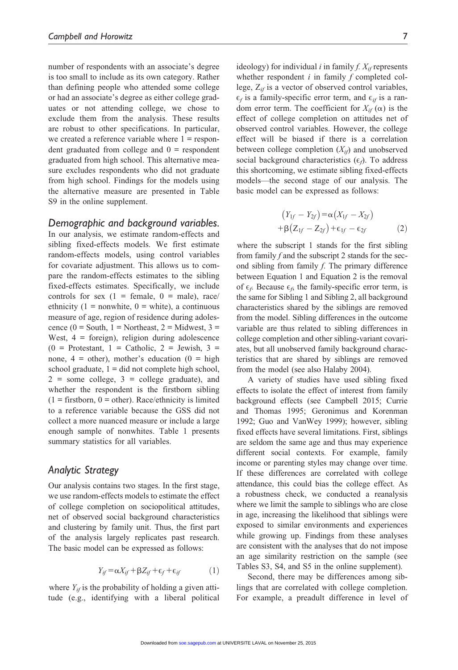number of respondents with an associate's degree is too small to include as its own category. Rather than defining people who attended some college or had an associate's degree as either college graduates or not attending college, we chose to exclude them from the analysis. These results are robust to other specifications. In particular, we created a reference variable where  $1 =$  respondent graduated from college and  $0 =$  respondent graduated from high school. This alternative measure excludes respondents who did not graduate from high school. Findings for the models using the alternative measure are presented in Table S9 in the online supplement.

#### Demographic and background variables.

In our analysis, we estimate random-effects and sibling fixed-effects models. We first estimate random-effects models, using control variables for covariate adjustment. This allows us to compare the random-effects estimates to the sibling fixed-effects estimates. Specifically, we include controls for sex  $(1 = \text{female}, 0 = \text{male})$ , race/ ethnicity  $(1 = nonwhite, 0 = white)$ , a continuous measure of age, region of residence during adolescence ( $0 =$  South,  $1 =$  Northeast,  $2 =$  Midwest,  $3 =$ West, 4 = foreign), religion during adolescence  $(0 =$  Protestant,  $1 =$  Catholic,  $2 =$  Jewish,  $3 =$ none,  $4 =$  other), mother's education  $(0 =$  high school graduate,  $1 =$  did not complete high school,  $2 =$  some college,  $3 =$  college graduate), and whether the respondent is the firstborn sibling  $(1 =$  firstborn,  $0 =$  other). Race/ethnicity is limited to a reference variable because the GSS did not collect a more nuanced measure or include a large enough sample of nonwhites. Table 1 presents summary statistics for all variables.

#### Analytic Strategy

Our analysis contains two stages. In the first stage, we use random-effects models to estimate the effect of college completion on sociopolitical attitudes, net of observed social background characteristics and clustering by family unit. Thus, the first part of the analysis largely replicates past research. The basic model can be expressed as follows:

$$
Y_{if} = \alpha X_{if} + \beta Z_{if} + \epsilon_f + \epsilon_{if} \tag{1}
$$

where  $Y_{if}$  is the probability of holding a given attitude (e.g., identifying with a liberal political ideology) for individual *i* in family *f.*  $X_{if}$  represents whether respondent  $i$  in family  $f$  completed college,  $Z_{if}$  is a vector of observed control variables,  $\epsilon_f$  is a family-specific error term, and  $\epsilon_{if}$  is a random error term. The coefficient for  $X_{if}(\alpha)$  is the effect of college completion on attitudes net of observed control variables. However, the college effect will be biased if there is a correlation between college completion  $(X_{if})$  and unobserved social background characteristics  $(\epsilon_f)$ . To address this shortcoming, we estimate sibling fixed-effects models—the second stage of our analysis. The basic model can be expressed as follows:

$$
(Y_{1f} - Y_{2f}) = \alpha (X_{1f} - X_{2f})
$$
  
+  $\beta (Z_{1f} - Z_{2f}) + \epsilon_{1f} - \epsilon_{2f}$  (2)

where the subscript 1 stands for the first sibling from family  $f$  and the subscript 2 stands for the second sibling from family f. The primary difference between Equation 1 and Equation 2 is the removal of  $\epsilon_f$ . Because  $\epsilon_f$ , the family-specific error term, is the same for Sibling 1 and Sibling 2, all background characteristics shared by the siblings are removed from the model. Sibling differences in the outcome variable are thus related to sibling differences in college completion and other sibling-variant covariates, but all unobserved family background characteristics that are shared by siblings are removed from the model (see also Halaby 2004).

A variety of studies have used sibling fixed effects to isolate the effect of interest from family background effects (see Campbell 2015; Currie and Thomas 1995; Geronimus and Korenman 1992; Guo and VanWey 1999); however, sibling fixed effects have several limitations. First, siblings are seldom the same age and thus may experience different social contexts. For example, family income or parenting styles may change over time. If these differences are correlated with college attendance, this could bias the college effect. As a robustness check, we conducted a reanalysis where we limit the sample to siblings who are close in age, increasing the likelihood that siblings were exposed to similar environments and experiences while growing up. Findings from these analyses are consistent with the analyses that do not impose an age similarity restriction on the sample (see Tables S3, S4, and S5 in the online supplement).

Second, there may be differences among siblings that are correlated with college completion. For example, a preadult difference in level of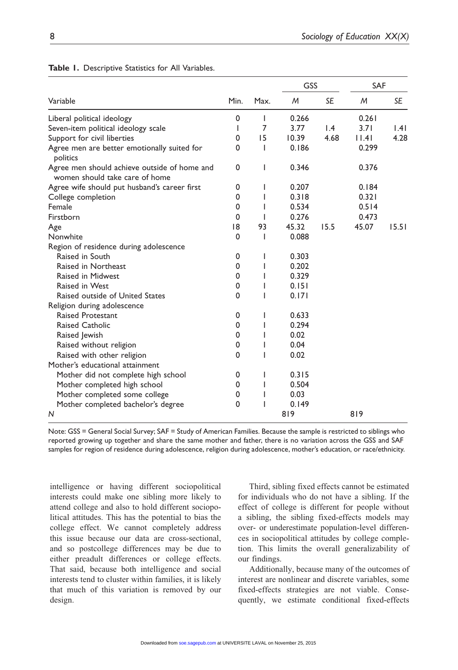|                                                                                |          |                | GSS   |                 | <b>SAF</b> |           |
|--------------------------------------------------------------------------------|----------|----------------|-------|-----------------|------------|-----------|
| Variable                                                                       | Min.     | Max.           | M     | <b>SE</b>       | M          | <b>SE</b> |
| Liberal political ideology                                                     | 0        | $\mathbf{I}$   | 0.266 |                 | 0.261      |           |
| Seven-item political ideology scale                                            | L        | $\overline{7}$ | 3.77  | $\mathsf{I}$ .4 | 3.71       | .4        |
| Support for civil liberties                                                    | 0        | 15             | 10.39 | 4.68            | 1.4        | 4.28      |
| Agree men are better emotionally suited for<br>politics                        | 0        | $\mathbf{I}$   | 0.186 |                 | 0.299      |           |
| Agree men should achieve outside of home and<br>women should take care of home | 0        | I              | 0.346 |                 | 0.376      |           |
| Agree wife should put husband's career first                                   | 0        | ı              | 0.207 |                 | 0.184      |           |
| College completion                                                             | 0        | I              | 0.318 |                 | 0.321      |           |
| Female                                                                         | $\Omega$ | <b>I</b>       | 0.534 |                 | 0.514      |           |
| Firstborn                                                                      | $\Omega$ | ı              | 0.276 |                 | 0.473      |           |
| Age                                                                            | 18       | 93             | 45.32 | 15.5            | 45.07      | 15.51     |
| Nonwhite                                                                       | $\Omega$ | ı              | 0.088 |                 |            |           |
| Region of residence during adolescence                                         |          |                |       |                 |            |           |
| Raised in South                                                                | 0        | ı              | 0.303 |                 |            |           |
| Raised in Northeast                                                            | 0        | ı              | 0.202 |                 |            |           |
| Raised in Midwest                                                              | $\Omega$ | ı              | 0.329 |                 |            |           |
| Raised in West                                                                 | $\Omega$ |                | 0.151 |                 |            |           |
| Raised outside of United States                                                | 0        | ı              | 0.171 |                 |            |           |
| Religion during adolescence                                                    |          |                |       |                 |            |           |
| <b>Raised Protestant</b>                                                       | 0        | I              | 0.633 |                 |            |           |
| <b>Raised Catholic</b>                                                         | 0        | ı              | 0.294 |                 |            |           |
| Raised Jewish                                                                  | 0        | ı              | 0.02  |                 |            |           |
| Raised without religion                                                        | 0        | ı              | 0.04  |                 |            |           |
| Raised with other religion                                                     | 0        | ı              | 0.02  |                 |            |           |
| Mother's educational attainment                                                |          |                |       |                 |            |           |
| Mother did not complete high school                                            | 0        | I              | 0.315 |                 |            |           |
| Mother completed high school                                                   | 0        | I              | 0.504 |                 |            |           |
| Mother completed some college                                                  | 0        | I              | 0.03  |                 |            |           |
| Mother completed bachelor's degree                                             | $\Omega$ | ı              | 0.149 |                 |            |           |
| $\mathsf{N}$                                                                   |          |                | 819   |                 | 819        |           |

Table 1. Descriptive Statistics for All Variables.

Note: GSS = General Social Survey; SAF = Study of American Families. Because the sample is restricted to siblings who reported growing up together and share the same mother and father, there is no variation across the GSS and SAF samples for region of residence during adolescence, religion during adolescence, mother's education, or race/ethnicity.

intelligence or having different sociopolitical interests could make one sibling more likely to attend college and also to hold different sociopolitical attitudes. This has the potential to bias the college effect. We cannot completely address this issue because our data are cross-sectional, and so postcollege differences may be due to either preadult differences or college effects. That said, because both intelligence and social interests tend to cluster within families, it is likely that much of this variation is removed by our design.

Third, sibling fixed effects cannot be estimated for individuals who do not have a sibling. If the effect of college is different for people without a sibling, the sibling fixed-effects models may over- or underestimate population-level differences in sociopolitical attitudes by college completion. This limits the overall generalizability of our findings.

Additionally, because many of the outcomes of interest are nonlinear and discrete variables, some fixed-effects strategies are not viable. Consequently, we estimate conditional fixed-effects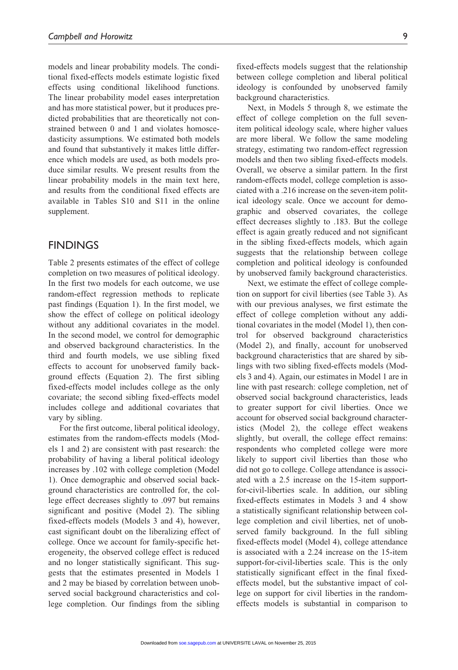models and linear probability models. The conditional fixed-effects models estimate logistic fixed effects using conditional likelihood functions. The linear probability model eases interpretation and has more statistical power, but it produces predicted probabilities that are theoretically not constrained between 0 and 1 and violates homoscedasticity assumptions. We estimated both models and found that substantively it makes little difference which models are used, as both models produce similar results. We present results from the linear probability models in the main text here, and results from the conditional fixed effects are available in Tables S10 and S11 in the online supplement.

## **FINDINGS**

Table 2 presents estimates of the effect of college completion on two measures of political ideology. In the first two models for each outcome, we use random-effect regression methods to replicate past findings (Equation 1). In the first model, we show the effect of college on political ideology without any additional covariates in the model. In the second model, we control for demographic and observed background characteristics. In the third and fourth models, we use sibling fixed effects to account for unobserved family background effects (Equation 2). The first sibling fixed-effects model includes college as the only covariate; the second sibling fixed-effects model includes college and additional covariates that vary by sibling.

For the first outcome, liberal political ideology, estimates from the random-effects models (Models 1 and 2) are consistent with past research: the probability of having a liberal political ideology increases by .102 with college completion (Model 1). Once demographic and observed social background characteristics are controlled for, the college effect decreases slightly to .097 but remains significant and positive (Model 2). The sibling fixed-effects models (Models 3 and 4), however, cast significant doubt on the liberalizing effect of college. Once we account for family-specific heterogeneity, the observed college effect is reduced and no longer statistically significant. This suggests that the estimates presented in Models 1 and 2 may be biased by correlation between unobserved social background characteristics and college completion. Our findings from the sibling

fixed-effects models suggest that the relationship between college completion and liberal political ideology is confounded by unobserved family background characteristics.

Next, in Models 5 through 8, we estimate the effect of college completion on the full sevenitem political ideology scale, where higher values are more liberal. We follow the same modeling strategy, estimating two random-effect regression models and then two sibling fixed-effects models. Overall, we observe a similar pattern. In the first random-effects model, college completion is associated with a .216 increase on the seven-item political ideology scale. Once we account for demographic and observed covariates, the college effect decreases slightly to .183. But the college effect is again greatly reduced and not significant in the sibling fixed-effects models, which again suggests that the relationship between college completion and political ideology is confounded by unobserved family background characteristics.

Next, we estimate the effect of college completion on support for civil liberties (see Table 3). As with our previous analyses, we first estimate the effect of college completion without any additional covariates in the model (Model 1), then control for observed background characteristics (Model 2), and finally, account for unobserved background characteristics that are shared by siblings with two sibling fixed-effects models (Models 3 and 4). Again, our estimates in Model 1 are in line with past research: college completion, net of observed social background characteristics, leads to greater support for civil liberties. Once we account for observed social background characteristics (Model 2), the college effect weakens slightly, but overall, the college effect remains: respondents who completed college were more likely to support civil liberties than those who did not go to college. College attendance is associated with a 2.5 increase on the 15-item supportfor-civil-liberties scale. In addition, our sibling fixed-effects estimates in Models 3 and 4 show a statistically significant relationship between college completion and civil liberties, net of unobserved family background. In the full sibling fixed-effects model (Model 4), college attendance is associated with a 2.24 increase on the 15-item support-for-civil-liberties scale. This is the only statistically significant effect in the final fixedeffects model, but the substantive impact of college on support for civil liberties in the randomeffects models is substantial in comparison to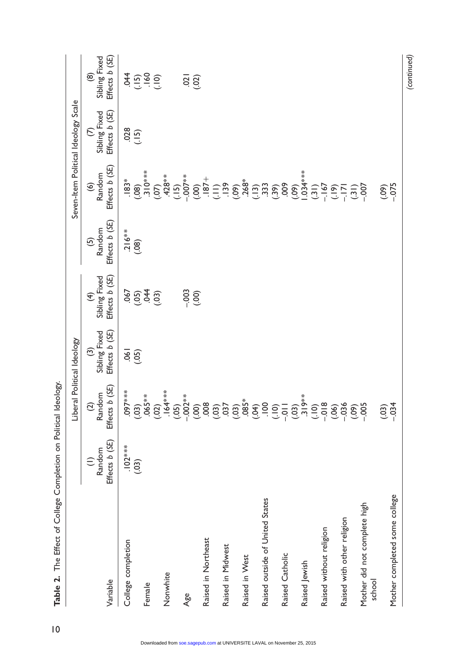| The Effect of College Completion on Political Ideology.<br>Table 2. |                                           |                                           |                                        |                                                            |                                            |                                                                                                                                                                                  |                                        |                                                                       |
|---------------------------------------------------------------------|-------------------------------------------|-------------------------------------------|----------------------------------------|------------------------------------------------------------|--------------------------------------------|----------------------------------------------------------------------------------------------------------------------------------------------------------------------------------|----------------------------------------|-----------------------------------------------------------------------|
|                                                                     |                                           |                                           | Liberal Political Ideology             |                                                            |                                            | Seven-Item Political Ideology Scale                                                                                                                                              |                                        |                                                                       |
| Variable                                                            | Effects b (SE)<br>Random<br>$\widehat{=}$ | Effects b (SE)<br>Random<br>$\widehat{c}$ | Effects b (SE)<br>(3)<br>Sibling Fixed | Effects b (SE)<br>Sibling Fixed<br>$\widehat{\mathcal{F}}$ | Effects b (SE)<br>Random<br>$\overline{6}$ | Effects b (SE)<br>Random<br>$\circledcirc$                                                                                                                                       | Effects b (SE)<br>(7)<br>Sibling Fixed | Effects b (SE)<br>Sibling Fixed<br>@                                  |
| College completion                                                  | $.102***$                                 | $097***$                                  | 0.05                                   |                                                            | $\frac{216***}{(08)}$                      | $183*$                                                                                                                                                                           | $028$<br>(.15)                         |                                                                       |
| Female                                                              | (.03)                                     | $065***$<br>(.03)                         |                                        | $89.69$<br>$24.69$                                         |                                            | $(0.08)$<br>$(0.01)$<br>$(0.01)$                                                                                                                                                 |                                        | $\frac{2}{3}$ $\frac{2}{3}$ $\frac{1}{3}$ $\frac{5}{9}$ $\frac{5}{9}$ |
| Nonwhite                                                            |                                           | $(02)$<br>$164***$                        |                                        |                                                            |                                            | $.428**$                                                                                                                                                                         |                                        |                                                                       |
| Age                                                                 |                                           |                                           |                                        | $-0.00$                                                    |                                            | $(.15)$<br>-.007**                                                                                                                                                               |                                        | (0.02)                                                                |
| Raised in Northeast                                                 |                                           |                                           |                                        |                                                            |                                            |                                                                                                                                                                                  |                                        |                                                                       |
| Raised in Midwest                                                   |                                           |                                           |                                        |                                                            |                                            |                                                                                                                                                                                  |                                        |                                                                       |
| Raised in West                                                      |                                           |                                           |                                        |                                                            |                                            | $(30 - 12)$<br>$(30 - 12)$<br>$(30 - 12)$<br>$(30 - 12)$<br>$(30 - 12)$<br>$(30 - 12)$<br>$(30 - 12)$<br>$(30 - 12)$<br>$(30 - 12)$<br>$(30 - 12)$<br>$(30 - 12)$<br>$(30 - 12)$ |                                        |                                                                       |
| Raised outside of United States                                     |                                           |                                           |                                        |                                                            |                                            |                                                                                                                                                                                  |                                        |                                                                       |
| Raised Catholic                                                     |                                           |                                           |                                        |                                                            |                                            |                                                                                                                                                                                  |                                        |                                                                       |
| Raised Jewish                                                       |                                           |                                           |                                        |                                                            |                                            |                                                                                                                                                                                  |                                        |                                                                       |
| Raised without religion                                             |                                           |                                           |                                        |                                                            |                                            |                                                                                                                                                                                  |                                        |                                                                       |
| Raised with other religion                                          |                                           |                                           |                                        |                                                            |                                            |                                                                                                                                                                                  |                                        |                                                                       |
| Mother did not complete high<br>school                              |                                           |                                           |                                        |                                                            |                                            |                                                                                                                                                                                  |                                        |                                                                       |
| Mother completed some college                                       |                                           | (03)                                      |                                        |                                                            |                                            | (0.09)                                                                                                                                                                           |                                        |                                                                       |
|                                                                     |                                           |                                           |                                        |                                                            |                                            |                                                                                                                                                                                  |                                        | (continued)                                                           |

Downloaded from [soe.sagepub.com](http://soe.sagepub.com/) at UNIVERSITE LAVAL on November 25, 2015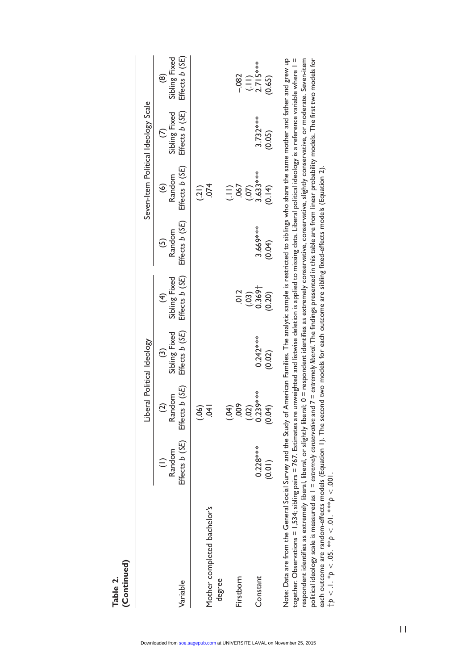|                                                                                                                                                                                                                                                                                                                                                                                                                                  |                          |                                                                                                                                                | Liberal Political Ideology                                 |                                                           |                                           | Seven-Item Political Ideology Scale        |                                 |                                                   |
|----------------------------------------------------------------------------------------------------------------------------------------------------------------------------------------------------------------------------------------------------------------------------------------------------------------------------------------------------------------------------------------------------------------------------------|--------------------------|------------------------------------------------------------------------------------------------------------------------------------------------|------------------------------------------------------------|-----------------------------------------------------------|-------------------------------------------|--------------------------------------------|---------------------------------|---------------------------------------------------|
| Variable                                                                                                                                                                                                                                                                                                                                                                                                                         | Effects b (SE)<br>Random | Effects b (SE)<br>Random<br>$\widehat{c}$                                                                                                      | Effects b (SE)<br>Sibling Fixed<br>$\widehat{\mathcal{C}}$ | Effects b (SE)<br>Sibling Fixed<br>$\widehat{\mathbf{f}}$ | Effects b (SE)<br>Random<br>$\widehat{5}$ | Effects b (SE)<br>Random<br>$\circledcirc$ | Sibling Fixed<br>Effects b (SE) | Effects b (SE)<br>Sibling Fixed<br>$\circledcirc$ |
| Mother completed bachelor's<br>degree                                                                                                                                                                                                                                                                                                                                                                                            |                          | (90)<br>$\overline{4}$                                                                                                                         |                                                            |                                                           |                                           | 074<br>(21)                                |                                 |                                                   |
| Firstborn                                                                                                                                                                                                                                                                                                                                                                                                                        |                          | $\frac{600}{200}$<br>(60)                                                                                                                      |                                                            | $\frac{2}{10}$                                            |                                           | .067<br>$\frac{1}{2}$                      |                                 | $-082$                                            |
| Constant                                                                                                                                                                                                                                                                                                                                                                                                                         | $0.228***$<br>(0.01)     | $0.239***$<br>(.02)<br>(0.04)                                                                                                                  | $0.242***$<br>(0.02)                                       | $0.369\dagger$<br>(0.20)<br>(03)                          | 3.669***<br>(0.04)                        | $3.633***$<br>(0.14)<br>(0)                | $3.732***$<br>(0.05)            | $\binom{.11}{2.715}$<br>(0.65)                    |
| Note: Data are from the General Social Survey and the Study of American Families. The analytic sample is restricted to siblings who share the same mother and father and grew up<br>ogether. Observations = 1,534; sibling pairs = 767. Estimates are unweighted and listwise deletion is applied to missing data. Liberal political ideology is a reference variable where 1 =<br>respondent identifies as extremely liberal, I |                          | iberal, or slightly liberal; 0 = respondent identifies as extremely conservative, conservative, slightly conservative, or moderate. Seven-item |                                                            |                                                           |                                           |                                            |                                 |                                                   |

|                                                                                                                                                                                  |                                                                                                                                                                                              | liberal, or slightly liberal; 0 = respondent identifies as extremely conservative, conservative, slightly conservative, or moderate. Seven-item |                                                                                                                                                                                                 |                                                                                                                                           |                                                                                                                                                                                                                                                                                                                                                                                                                        |
|----------------------------------------------------------------------------------------------------------------------------------------------------------------------------------|----------------------------------------------------------------------------------------------------------------------------------------------------------------------------------------------|-------------------------------------------------------------------------------------------------------------------------------------------------|-------------------------------------------------------------------------------------------------------------------------------------------------------------------------------------------------|-------------------------------------------------------------------------------------------------------------------------------------------|------------------------------------------------------------------------------------------------------------------------------------------------------------------------------------------------------------------------------------------------------------------------------------------------------------------------------------------------------------------------------------------------------------------------|
|                                                                                                                                                                                  |                                                                                                                                                                                              |                                                                                                                                                 |                                                                                                                                                                                                 |                                                                                                                                           |                                                                                                                                                                                                                                                                                                                                                                                                                        |
|                                                                                                                                                                                  |                                                                                                                                                                                              |                                                                                                                                                 |                                                                                                                                                                                                 |                                                                                                                                           |                                                                                                                                                                                                                                                                                                                                                                                                                        |
|                                                                                                                                                                                  |                                                                                                                                                                                              |                                                                                                                                                 |                                                                                                                                                                                                 |                                                                                                                                           |                                                                                                                                                                                                                                                                                                                                                                                                                        |
|                                                                                                                                                                                  |                                                                                                                                                                                              |                                                                                                                                                 |                                                                                                                                                                                                 |                                                                                                                                           |                                                                                                                                                                                                                                                                                                                                                                                                                        |
|                                                                                                                                                                                  |                                                                                                                                                                                              |                                                                                                                                                 |                                                                                                                                                                                                 |                                                                                                                                           |                                                                                                                                                                                                                                                                                                                                                                                                                        |
|                                                                                                                                                                                  |                                                                                                                                                                                              |                                                                                                                                                 |                                                                                                                                                                                                 |                                                                                                                                           |                                                                                                                                                                                                                                                                                                                                                                                                                        |
|                                                                                                                                                                                  |                                                                                                                                                                                              |                                                                                                                                                 |                                                                                                                                                                                                 |                                                                                                                                           |                                                                                                                                                                                                                                                                                                                                                                                                                        |
|                                                                                                                                                                                  |                                                                                                                                                                                              |                                                                                                                                                 |                                                                                                                                                                                                 |                                                                                                                                           |                                                                                                                                                                                                                                                                                                                                                                                                                        |
|                                                                                                                                                                                  |                                                                                                                                                                                              |                                                                                                                                                 |                                                                                                                                                                                                 |                                                                                                                                           |                                                                                                                                                                                                                                                                                                                                                                                                                        |
|                                                                                                                                                                                  |                                                                                                                                                                                              |                                                                                                                                                 |                                                                                                                                                                                                 |                                                                                                                                           |                                                                                                                                                                                                                                                                                                                                                                                                                        |
|                                                                                                                                                                                  |                                                                                                                                                                                              |                                                                                                                                                 |                                                                                                                                                                                                 |                                                                                                                                           |                                                                                                                                                                                                                                                                                                                                                                                                                        |
|                                                                                                                                                                                  |                                                                                                                                                                                              |                                                                                                                                                 |                                                                                                                                                                                                 |                                                                                                                                           |                                                                                                                                                                                                                                                                                                                                                                                                                        |
|                                                                                                                                                                                  |                                                                                                                                                                                              |                                                                                                                                                 |                                                                                                                                                                                                 |                                                                                                                                           |                                                                                                                                                                                                                                                                                                                                                                                                                        |
|                                                                                                                                                                                  |                                                                                                                                                                                              |                                                                                                                                                 |                                                                                                                                                                                                 |                                                                                                                                           |                                                                                                                                                                                                                                                                                                                                                                                                                        |
|                                                                                                                                                                                  |                                                                                                                                                                                              |                                                                                                                                                 |                                                                                                                                                                                                 |                                                                                                                                           |                                                                                                                                                                                                                                                                                                                                                                                                                        |
|                                                                                                                                                                                  |                                                                                                                                                                                              |                                                                                                                                                 |                                                                                                                                                                                                 |                                                                                                                                           |                                                                                                                                                                                                                                                                                                                                                                                                                        |
|                                                                                                                                                                                  |                                                                                                                                                                                              |                                                                                                                                                 |                                                                                                                                                                                                 |                                                                                                                                           |                                                                                                                                                                                                                                                                                                                                                                                                                        |
|                                                                                                                                                                                  |                                                                                                                                                                                              |                                                                                                                                                 |                                                                                                                                                                                                 |                                                                                                                                           |                                                                                                                                                                                                                                                                                                                                                                                                                        |
|                                                                                                                                                                                  |                                                                                                                                                                                              |                                                                                                                                                 |                                                                                                                                                                                                 |                                                                                                                                           |                                                                                                                                                                                                                                                                                                                                                                                                                        |
|                                                                                                                                                                                  |                                                                                                                                                                                              |                                                                                                                                                 |                                                                                                                                                                                                 |                                                                                                                                           |                                                                                                                                                                                                                                                                                                                                                                                                                        |
| Note: Data are from the General Social Survey and the Study of American Families. The analytic sample is restricted to siblings who share the same mother and father and grew up | cogether. Observations = 1,534; sibling pairs = 767. Estimates are unweighted and listwise deletion is applied to missing data. Liberal political ideology is a reference variable where 1 = | espondent identifies as extremely liberal,                                                                                                      | political ideology scale is measured as I = extremely conservative and 7 = extremely liberal. The findings presented in this table are from linear probability models. The first two models for | ach outcome are random-effects models (Equation I). The second two models for each outcome are sibling fixed-effects models (Equation 2). | $\uparrow$ $\uparrow$ $\uparrow$ $\uparrow$ $\uparrow$ $\uparrow$ $\uparrow$ $\uparrow$ $\uparrow$ $\uparrow$ $\uparrow$ $\uparrow$ $\uparrow$ $\uparrow$ $\uparrow$ $\uparrow$ $\uparrow$ $\uparrow$ $\uparrow$ $\uparrow$ $\uparrow$ $\uparrow$ $\uparrow$ $\uparrow$ $\uparrow$ $\uparrow$ $\uparrow$ $\uparrow$ $\uparrow$ $\uparrow$ $\uparrow$ $\uparrow$ $\uparrow$ $\uparrow$ $\uparrow$ $\uparrow$ $\uparrow$ |

(Continued)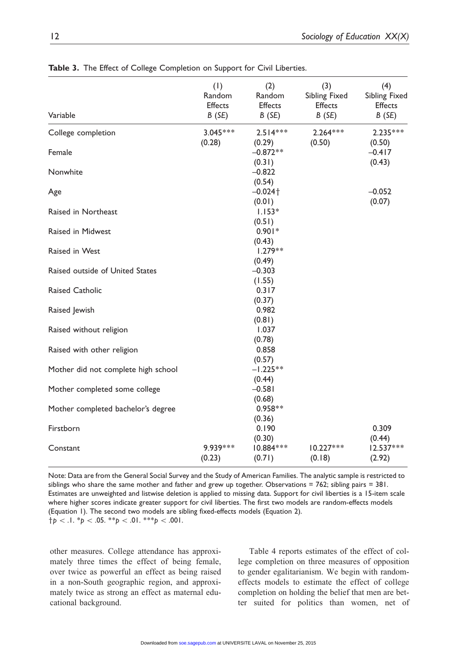| Variable                            | (1)<br>Random<br><b>Effects</b><br>B(SE) | (2)<br>Random<br><b>Effects</b><br>B(SE) | (3)<br>Sibling Fixed<br><b>Effects</b><br>B(SE) | (4)<br>Sibling Fixed<br>Effects<br>B(SE) |
|-------------------------------------|------------------------------------------|------------------------------------------|-------------------------------------------------|------------------------------------------|
| College completion                  | $3.045***$                               | $2.514***$                               | $2.264***$                                      | $2.235***$                               |
| Female                              | (0.28)                                   | (0.29)<br>$-0.872**$                     | (0.50)                                          | (0.50)<br>$-0.417$                       |
| Nonwhite                            |                                          | (0.31)<br>$-0.822$<br>(0.54)             |                                                 | (0.43)                                   |
| Age                                 |                                          | $-0.024$ <sup>+</sup>                    |                                                 | $-0.052$                                 |
| Raised in Northeast                 |                                          | (0.01)<br>$1.153*$                       |                                                 | (0.07)                                   |
| <b>Raised in Midwest</b>            |                                          | (0.51)<br>$0.901*$<br>(0.43)             |                                                 |                                          |
| Raised in West                      |                                          | $1.279**$                                |                                                 |                                          |
| Raised outside of United States     |                                          | (0.49)<br>$-0.303$                       |                                                 |                                          |
| <b>Raised Catholic</b>              |                                          | (1.55)<br>0.317                          |                                                 |                                          |
| Raised Jewish                       |                                          | (0.37)<br>0.982                          |                                                 |                                          |
| Raised without religion             |                                          | (0.81)<br>1.037                          |                                                 |                                          |
| Raised with other religion          |                                          | (0.78)<br>0.858<br>(0.57)                |                                                 |                                          |
| Mother did not complete high school |                                          | $-1.225**$<br>(0.44)                     |                                                 |                                          |
| Mother completed some college       |                                          | $-0.581$<br>(0.68)                       |                                                 |                                          |
| Mother completed bachelor's degree  |                                          | $0.958**$<br>(0.36)                      |                                                 |                                          |
| Firstborn                           |                                          | 0.190<br>(0.30)                          |                                                 | 0.309<br>(0.44)                          |
| Constant                            | 9.939 ***<br>(0.23)                      | $10.884***$<br>(0.71)                    | $10.227***$<br>(0.18)                           | $12.537***$<br>(2.92)                    |

Table 3. The Effect of College Completion on Support for Civil Liberties.

Note: Data are from the General Social Survey and the Study of American Families. The analytic sample is restricted to siblings who share the same mother and father and grew up together. Observations = 762; sibling pairs = 381. Estimates are unweighted and listwise deletion is applied to missing data. Support for civil liberties is a 15-item scale where higher scores indicate greater support for civil liberties. The first two models are random-effects models (Equation 1). The second two models are sibling fixed-effects models (Equation 2).  $\uparrow p$  < .1. \*p < .05. \*\*p < .01. \*\*\*p < .001.

other measures. College attendance has approximately three times the effect of being female, over twice as powerful an effect as being raised in a non-South geographic region, and approximately twice as strong an effect as maternal educational background.

Table 4 reports estimates of the effect of college completion on three measures of opposition to gender egalitarianism. We begin with randomeffects models to estimate the effect of college completion on holding the belief that men are better suited for politics than women, net of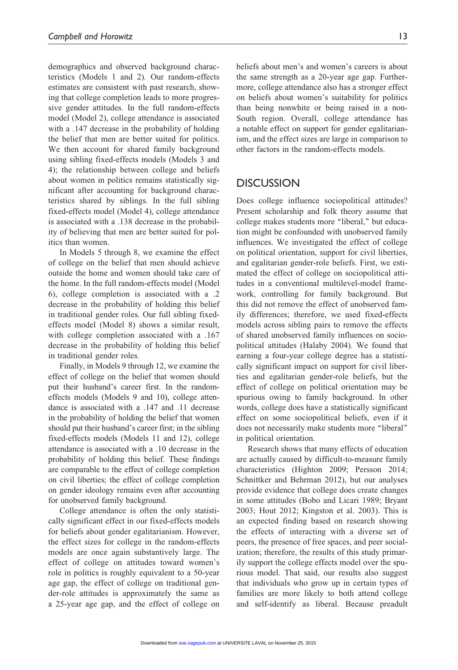demographics and observed background characteristics (Models 1 and 2). Our random-effects estimates are consistent with past research, showing that college completion leads to more progressive gender attitudes. In the full random-effects model (Model 2), college attendance is associated with a .147 decrease in the probability of holding the belief that men are better suited for politics. We then account for shared family background using sibling fixed-effects models (Models 3 and 4); the relationship between college and beliefs about women in politics remains statistically significant after accounting for background characteristics shared by siblings. In the full sibling fixed-effects model (Model 4), college attendance is associated with a .138 decrease in the probability of believing that men are better suited for politics than women.

In Models 5 through 8, we examine the effect of college on the belief that men should achieve outside the home and women should take care of the home. In the full random-effects model (Model 6), college completion is associated with a .2 decrease in the probability of holding this belief in traditional gender roles. Our full sibling fixedeffects model (Model 8) shows a similar result, with college completion associated with a .167 decrease in the probability of holding this belief in traditional gender roles.

Finally, in Models 9 through 12, we examine the effect of college on the belief that women should put their husband's career first. In the randomeffects models (Models 9 and 10), college attendance is associated with a .147 and .11 decrease in the probability of holding the belief that women should put their husband's career first; in the sibling fixed-effects models (Models 11 and 12), college attendance is associated with a .10 decrease in the probability of holding this belief. These findings are comparable to the effect of college completion on civil liberties; the effect of college completion on gender ideology remains even after accounting for unobserved family background.

College attendance is often the only statistically significant effect in our fixed-effects models for beliefs about gender egalitarianism. However, the effect sizes for college in the random-effects models are once again substantively large. The effect of college on attitudes toward women's role in politics is roughly equivalent to a 50-year age gap, the effect of college on traditional gender-role attitudes is approximately the same as a 25-year age gap, and the effect of college on

beliefs about men's and women's careers is about the same strength as a 20-year age gap. Furthermore, college attendance also has a stronger effect on beliefs about women's suitability for politics than being nonwhite or being raised in a non-South region. Overall, college attendance has a notable effect on support for gender egalitarianism, and the effect sizes are large in comparison to other factors in the random-effects models.

## **DISCUSSION**

Does college influence sociopolitical attitudes? Present scholarship and folk theory assume that college makes students more "liberal," but education might be confounded with unobserved family influences. We investigated the effect of college on political orientation, support for civil liberties, and egalitarian gender-role beliefs. First, we estimated the effect of college on sociopolitical attitudes in a conventional multilevel-model framework, controlling for family background. But this did not remove the effect of unobserved family differences; therefore, we used fixed-effects models across sibling pairs to remove the effects of shared unobserved family influences on sociopolitical attitudes (Halaby 2004). We found that earning a four-year college degree has a statistically significant impact on support for civil liberties and egalitarian gender-role beliefs, but the effect of college on political orientation may be spurious owing to family background. In other words, college does have a statistically significant effect on some sociopolitical beliefs, even if it does not necessarily make students more "liberal" in political orientation.

Research shows that many effects of education are actually caused by difficult-to-measure family characteristics (Highton 2009; Persson 2014; Schnittker and Behrman 2012), but our analyses provide evidence that college does create changes in some attitudes (Bobo and Licari 1989; Bryant 2003; Hout 2012; Kingston et al. 2003). This is an expected finding based on research showing the effects of interacting with a diverse set of peers, the presence of free spaces, and peer socialization; therefore, the results of this study primarily support the college effects model over the spurious model. That said, our results also suggest that individuals who grow up in certain types of families are more likely to both attend college and self-identify as liberal. Because preadult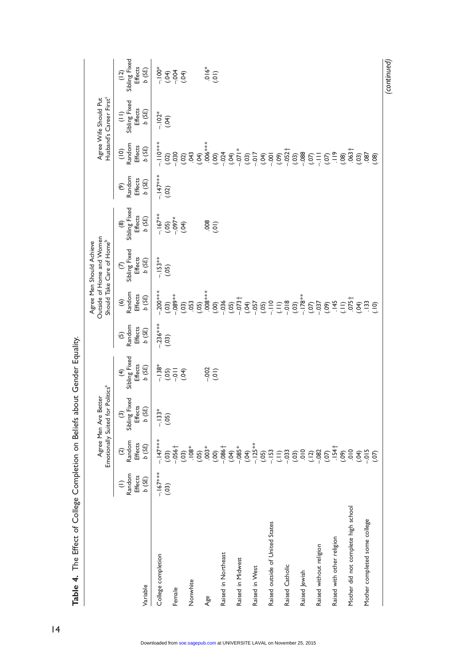|                                     |                                               |                                              | Emotionally Suited for Politics <sup>a</sup><br>Agree Men Are Better |                                           |                                              |                                                                                                                                                                                                                                                                                              | Outside of Home and Women<br>Should Take Care of Homeb<br>Agree Men Should Achieve |                                           |                                                        |                                              | Husband's Career First <sup>c</sup><br>Agree Wife Should Put |                                              |
|-------------------------------------|-----------------------------------------------|----------------------------------------------|----------------------------------------------------------------------|-------------------------------------------|----------------------------------------------|----------------------------------------------------------------------------------------------------------------------------------------------------------------------------------------------------------------------------------------------------------------------------------------------|------------------------------------------------------------------------------------|-------------------------------------------|--------------------------------------------------------|----------------------------------------------|--------------------------------------------------------------|----------------------------------------------|
| Variable                            | Random<br>Effects<br>$b(SE)$<br>$\widehat{=}$ | Random<br>Effects<br>b (SE)<br>$\widehat{c}$ | (3)<br>Sibling Fixed<br>Effects<br>b (SE)                            | (4)<br>Sibling Fixed<br>Effects<br>b (SE) | Random<br>Effects<br>b (SE)<br>$\widehat{5}$ | Random<br>Effects<br>b (SE)<br>$\widehat{\mathbf{e}}$                                                                                                                                                                                                                                        | (7)<br>Sibling Fixed<br>Effects<br>b (SE)                                          | (8)<br>Sibling Fixed<br>Effects<br>b (SE) | Random<br>Effects<br>b (SE)<br>$\widehat{\mathcal{C}}$ | Random<br>Effects<br>b (SE)<br>$\frac{1}{2}$ | Sibling Fixed<br>Effects<br>b (SE)<br>$\widehat{=}$          | $(12)$<br>Sibling Fixed<br>Effects<br>b (SE) |
| College completion                  | $-.167***$                                    | $-147***$                                    | $-133*$                                                              | $-138$<br>(.05)<br>(.05)                  | $-236***$                                    | $-200***$                                                                                                                                                                                                                                                                                    | $-153**$                                                                           | $-167***$<br>(.05)<br>-.097*              | $-147***$                                              | $-10*$                                       | $-102*$                                                      | $-100*$                                      |
| Female                              | (.03)                                         | $(-03)$<br>(0.03)                            | (05)                                                                 | (04)                                      | (03)                                         | $-089**$<br>(03)<br>(03)                                                                                                                                                                                                                                                                     | (05)                                                                               | (04)                                      | (.02)                                                  | (02)<br>(02)                                 | (0.04)                                                       | $60 - 100 + 100$<br>(0.04)                   |
| Nonwhite                            |                                               | $-108*$<br>(05)                              |                                                                      |                                           |                                              | .053<br>(.05)                                                                                                                                                                                                                                                                                |                                                                                    |                                           |                                                        | .043<br>(04)                                 |                                                              |                                              |
| Age                                 |                                               | $003*$<br>(00)                               |                                                                      | (10)                                      |                                              | $008***$<br>(00)                                                                                                                                                                                                                                                                             |                                                                                    | (10, 0)                                   |                                                        | $.006***$<br>(00)                            |                                                              | (10)                                         |
| Raised in Northeast                 |                                               | $-086 +$                                     |                                                                      |                                           |                                              | $-0.036$                                                                                                                                                                                                                                                                                     |                                                                                    |                                           |                                                        | $-0.024$                                     |                                                              |                                              |
| Raised in Midwest                   |                                               | (0.04)                                       |                                                                      |                                           |                                              | $(0.5) + (0.07) + (0.07) + (0.07) + (0.07) + (0.07) + (0.07) + (0.07) + (0.07) + (0.07) + (0.07) + (0.07) + (0.07) + (0.07) + (0.07) + (0.07) + (0.07) + (0.07) + (0.07) + (0.07) + (0.07) + (0.07) + (0.07) + (0.07) + (0.07) + (0.07) + (0.07) + (0.07) + (0.07) + (0.07) + (0.07) + (0.0$ |                                                                                    |                                           |                                                        | $(-60)$                                      |                                                              |                                              |
| Raised in West                      |                                               | $(.04)$<br>- 125**<br>(.05)                  |                                                                      |                                           |                                              |                                                                                                                                                                                                                                                                                              |                                                                                    |                                           |                                                        | (0.01)<br>(04)                               |                                                              |                                              |
| Raised outside of United States     |                                               | $-153$                                       |                                                                      |                                           |                                              | $\frac{1}{2}$<br>$\frac{1}{2}$<br>$\frac{1}{2}$<br>$\frac{1}{2}$<br>$\frac{1}{2}$                                                                                                                                                                                                            |                                                                                    |                                           |                                                        | $-001$                                       |                                                              |                                              |
| Raised Catholic                     |                                               | $\widehat{=}$ $\widehat{=}$                  |                                                                      |                                           |                                              |                                                                                                                                                                                                                                                                                              |                                                                                    |                                           |                                                        | $(-09)$<br>$-052$                            |                                                              |                                              |
| Raised Jewish                       |                                               | $\frac{3}{2}$                                |                                                                      |                                           |                                              | $(03)$<br>$-178$ **                                                                                                                                                                                                                                                                          |                                                                                    |                                           |                                                        | $(-03)$                                      |                                                              |                                              |
| Raised without religion             |                                               | (.12)                                        |                                                                      |                                           |                                              |                                                                                                                                                                                                                                                                                              |                                                                                    |                                           |                                                        | $S = S$ =                                    |                                                              |                                              |
| Raised with other religion          |                                               | (07)<br>(09)                                 |                                                                      |                                           |                                              | $\frac{45}{45}$                                                                                                                                                                                                                                                                              |                                                                                    |                                           |                                                        | (0.08)                                       |                                                              |                                              |
| Mother did not complete high school |                                               | 010<br>(0.04)                                |                                                                      |                                           |                                              | $075 +$                                                                                                                                                                                                                                                                                      |                                                                                    |                                           |                                                        | $63 + 63 + 63$<br>$63 + 63$                  |                                                              |                                              |
| Mother completed some college       |                                               | $-015$<br>(00)                               |                                                                      |                                           |                                              | $\widetilde{d}$ $\overline{d}$ $\widetilde{d}$ $\widetilde{d}$                                                                                                                                                                                                                               |                                                                                    |                                           |                                                        | (08)                                         |                                                              |                                              |
|                                     |                                               |                                              |                                                                      |                                           |                                              |                                                                                                                                                                                                                                                                                              |                                                                                    |                                           |                                                        |                                              |                                                              | (continued)                                  |

Table 4. The Effect of College Completion on Beliefs about Gender Equality. Table 4. The Effect of College Completion on Beliefs about Gender Equality.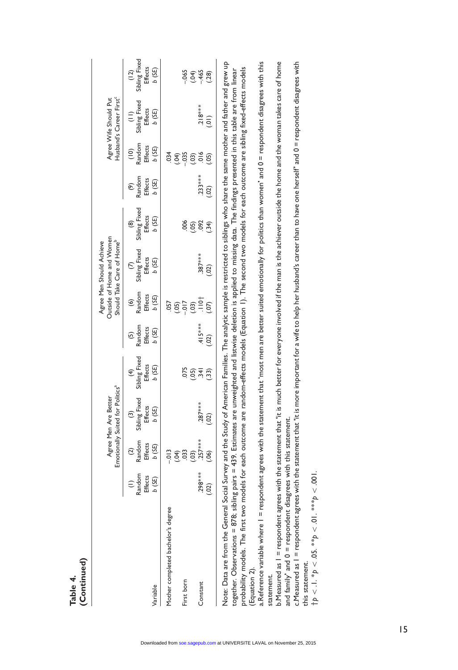| (Continued)<br>Table 4.                                                                                                                                                                                                                                                                                                                                                                                                                                                                                                                                                                                                                                                                                                                                                |                             |                             |                                                                      |                                                               |                                  |                                        |                                                                                   |                                                      |                           |                                              |                                                              |                                            |
|------------------------------------------------------------------------------------------------------------------------------------------------------------------------------------------------------------------------------------------------------------------------------------------------------------------------------------------------------------------------------------------------------------------------------------------------------------------------------------------------------------------------------------------------------------------------------------------------------------------------------------------------------------------------------------------------------------------------------------------------------------------------|-----------------------------|-----------------------------|----------------------------------------------------------------------|---------------------------------------------------------------|----------------------------------|----------------------------------------|-----------------------------------------------------------------------------------|------------------------------------------------------|---------------------------|----------------------------------------------|--------------------------------------------------------------|--------------------------------------------|
|                                                                                                                                                                                                                                                                                                                                                                                                                                                                                                                                                                                                                                                                                                                                                                        |                             |                             | Emotionally Suited for Politics <sup>ª</sup><br>Agree Men Are Better |                                                               |                                  |                                        | Outside of Home and Women<br>Should Take Care of Home<br>Agree Men Should Achieve |                                                      |                           |                                              | Husband's Career First <sup>®</sup><br>Agree Wife Should Put |                                            |
| Variable                                                                                                                                                                                                                                                                                                                                                                                                                                                                                                                                                                                                                                                                                                                                                               | Random<br>Effects<br>b (SE) | Random<br>Effects<br>b (SE) | Sibling Fixed<br>Effects<br>b (SE)<br>$\widehat{\mathcal{C}}$        | Sibling Fixed<br>Effects<br>b (SE)<br>$\widehat{\mathcal{F}}$ | Random<br>Effects<br>b (SE)<br>ල | Random<br>Effects<br>b (SE)<br>$\circ$ | Sibling Fixed<br>Effects<br>b (SE)                                                | Sibling Fixed<br>Effects<br>b (SE)<br>$\circledcirc$ | Random<br>Effects<br>(SE) | Random<br>Effects<br>b (SE)<br>$\frac{1}{2}$ | Sibling Fixed<br>Effects<br>b (SE)<br>$\widehat{=}$          | Sibling Fixed<br>Effects<br>b (SE)<br>(12) |
| Mother completed bachelor's degree                                                                                                                                                                                                                                                                                                                                                                                                                                                                                                                                                                                                                                                                                                                                     |                             | $-013$                      |                                                                      |                                                               |                                  | 057                                    |                                                                                   |                                                      |                           | 034                                          |                                                              |                                            |
| First born                                                                                                                                                                                                                                                                                                                                                                                                                                                                                                                                                                                                                                                                                                                                                             |                             | $rac{6}{5}$                 |                                                                      | 075                                                           |                                  | $(100 - 100)$                          |                                                                                   | 006                                                  |                           | (35)                                         |                                                              | $-0.065$                                   |
| Constant                                                                                                                                                                                                                                                                                                                                                                                                                                                                                                                                                                                                                                                                                                                                                               | $298***$<br>(0.02)          | $257***$<br>(03)<br>(06)    | $287***$<br>(02)                                                     | (05)<br>(33)                                                  | ****15.<br>(02)                  | $101 -$<br>(03)<br>(0, 0)              | $387***$<br>(02)                                                                  | (05)<br>(.34)                                        | $233***$<br>(02)          | (03)<br>(05)                                 | $218***$<br>(01)                                             | (0.04)<br>(28)                             |
| a.Reference variable where I = respondent agrees with the statement that 'most men are better suited emotionally for politics than women' and 0 = respondent disagrees with this<br>Note: Data are from the General Social Survey and the Study of American Families. The analytic sample is restricted to siblings who share the same mother and father and grew up<br>probability models. The first two models for each outcome are random-effects models (Equation 1). The second two models for each outcome are sibling fixed-effects models<br>together. Observations = 878; sibling pairs = 439. Estimates are unweighted and listwise deletion is applied to missing data. The findings presented in this table are from linear<br>(Equation 2).<br>statement. |                             |                             |                                                                      |                                                               |                                  |                                        |                                                                                   |                                                      |                           |                                              |                                                              |                                            |

b.Measured as I = respondent agrees with the statement that 'it is much better for everyone involved if the man is the achiever outside the home and the woman takes care of home and family' and 0 = respondent disagrees with this statement.<br>c.Measured as I = respondent agrees with the statement that 'it is more important for a wife to help her husband's career than to have one herself' and 0 = resp b.Measured as 1 = respondent agrees with the statement that 'it is much better for everyone involved if the man is the achiever outside the home and the woman takes care of home and family' and 0 = respondent disagrees with this statement.

c.Measured as 1 = respondent agrees with the statement that 'it is more important for a wife to help her husband's career than to have one herself' and 0 = respondent disagrees with this statement.<br>  $\uparrow p < 0.5$ . \*\* $p < 0.01$ . \*\*\* $p < 0.01$ . this statement.

 $\dagger p < .1. *p < .05. * *p < .01. * *p < .001.$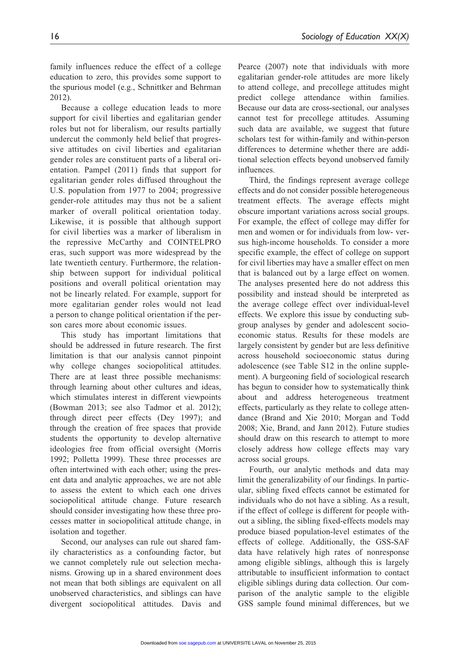family influences reduce the effect of a college education to zero, this provides some support to the spurious model (e.g., Schnittker and Behrman 2012).

Because a college education leads to more support for civil liberties and egalitarian gender roles but not for liberalism, our results partially undercut the commonly held belief that progressive attitudes on civil liberties and egalitarian gender roles are constituent parts of a liberal orientation. Pampel (2011) finds that support for egalitarian gender roles diffused throughout the U.S. population from 1977 to 2004; progressive gender-role attitudes may thus not be a salient marker of overall political orientation today. Likewise, it is possible that although support for civil liberties was a marker of liberalism in the repressive McCarthy and COINTELPRO eras, such support was more widespread by the late twentieth century. Furthermore, the relationship between support for individual political positions and overall political orientation may not be linearly related. For example, support for more egalitarian gender roles would not lead a person to change political orientation if the person cares more about economic issues.

This study has important limitations that should be addressed in future research. The first limitation is that our analysis cannot pinpoint why college changes sociopolitical attitudes. There are at least three possible mechanisms: through learning about other cultures and ideas, which stimulates interest in different viewpoints (Bowman 2013; see also Tadmor et al. 2012); through direct peer effects (Dey 1997); and through the creation of free spaces that provide students the opportunity to develop alternative ideologies free from official oversight (Morris 1992; Polletta 1999). These three processes are often intertwined with each other; using the present data and analytic approaches, we are not able to assess the extent to which each one drives sociopolitical attitude change. Future research should consider investigating how these three processes matter in sociopolitical attitude change, in isolation and together.

Second, our analyses can rule out shared family characteristics as a confounding factor, but we cannot completely rule out selection mechanisms. Growing up in a shared environment does not mean that both siblings are equivalent on all unobserved characteristics, and siblings can have divergent sociopolitical attitudes. Davis and

Pearce (2007) note that individuals with more egalitarian gender-role attitudes are more likely to attend college, and precollege attitudes might predict college attendance within families. Because our data are cross-sectional, our analyses cannot test for precollege attitudes. Assuming such data are available, we suggest that future scholars test for within-family and within-person differences to determine whether there are additional selection effects beyond unobserved family influences.

Third, the findings represent average college effects and do not consider possible heterogeneous treatment effects. The average effects might obscure important variations across social groups. For example, the effect of college may differ for men and women or for individuals from low- versus high-income households. To consider a more specific example, the effect of college on support for civil liberties may have a smaller effect on men that is balanced out by a large effect on women. The analyses presented here do not address this possibility and instead should be interpreted as the average college effect over individual-level effects. We explore this issue by conducting subgroup analyses by gender and adolescent socioeconomic status. Results for these models are largely consistent by gender but are less definitive across household socioeconomic status during adolescence (see Table S12 in the online supplement). A burgeoning field of sociological research has begun to consider how to systematically think about and address heterogeneous treatment effects, particularly as they relate to college attendance (Brand and Xie 2010; Morgan and Todd 2008; Xie, Brand, and Jann 2012). Future studies should draw on this research to attempt to more closely address how college effects may vary across social groups.

Fourth, our analytic methods and data may limit the generalizability of our findings. In particular, sibling fixed effects cannot be estimated for individuals who do not have a sibling. As a result, if the effect of college is different for people without a sibling, the sibling fixed-effects models may produce biased population-level estimates of the effects of college. Additionally, the GSS-SAF data have relatively high rates of nonresponse among eligible siblings, although this is largely attributable to insufficient information to contact eligible siblings during data collection. Our comparison of the analytic sample to the eligible GSS sample found minimal differences, but we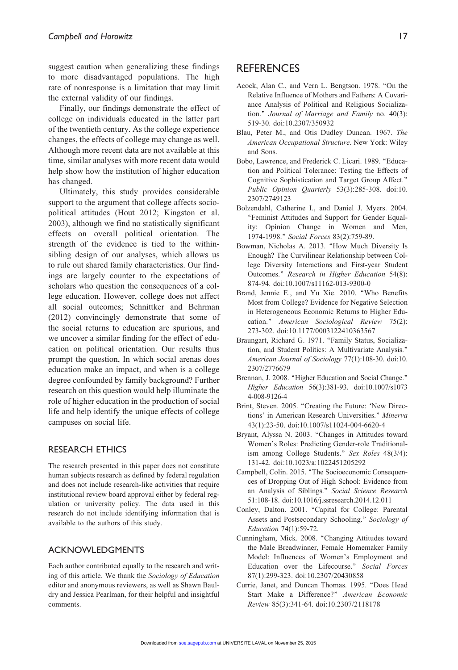suggest caution when generalizing these findings to more disadvantaged populations. The high rate of nonresponse is a limitation that may limit the external validity of our findings.

Finally, our findings demonstrate the effect of college on individuals educated in the latter part of the twentieth century. As the college experience changes, the effects of college may change as well. Although more recent data are not available at this time, similar analyses with more recent data would help show how the institution of higher education has changed.

Ultimately, this study provides considerable support to the argument that college affects sociopolitical attitudes (Hout 2012; Kingston et al. 2003), although we find no statistically significant effects on overall political orientation. The strength of the evidence is tied to the withinsibling design of our analyses, which allows us to rule out shared family characteristics. Our findings are largely counter to the expectations of scholars who question the consequences of a college education. However, college does not affect all social outcomes; Schnittker and Behrman (2012) convincingly demonstrate that some of the social returns to education are spurious, and we uncover a similar finding for the effect of education on political orientation. Our results thus prompt the question, In which social arenas does education make an impact, and when is a college degree confounded by family background? Further research on this question would help illuminate the role of higher education in the production of social life and help identify the unique effects of college campuses on social life.

#### RESEARCH ETHICS

The research presented in this paper does not constitute human subjects research as defined by federal regulation and does not include research-like activities that require institutional review board approval either by federal regulation or university policy. The data used in this research do not include identifying information that is available to the authors of this study.

#### ACKNOWLEDGMENTS

Each author contributed equally to the research and writing of this article. We thank the Sociology of Education editor and anonymous reviewers, as well as Shawn Bauldry and Jessica Pearlman, for their helpful and insightful comments.

## **REFERENCES**

- Acock, Alan C., and Vern L. Bengtson. 1978. "On the Relative Influence of Mothers and Fathers: A Covariance Analysis of Political and Religious Socialization.'' Journal of Marriage and Family no. 40(3): 519-30. doi:10.2307/350932
- Blau, Peter M., and Otis Dudley Duncan. 1967. The American Occupational Structure. New York: Wiley and Sons.
- Bobo, Lawrence, and Frederick C. Licari. 1989. "Education and Political Tolerance: Testing the Effects of Cognitive Sophistication and Target Group Affect.'' Public Opinion Quarterly 53(3):285-308. doi:10. 2307/2749123
- Bolzendahl, Catherine I., and Daniel J. Myers. 2004. ''Feminist Attitudes and Support for Gender Equality: Opinion Change in Women and Men, 1974-1998.'' Social Forces 83(2):759-89.
- Bowman, Nicholas A. 2013. ''How Much Diversity Is Enough? The Curvilinear Relationship between College Diversity Interactions and First-year Student Outcomes.'' Research in Higher Education 54(8): 874-94. doi:10.1007/s11162-013-9300-0
- Brand, Jennie E., and Yu Xie. 2010. ''Who Benefits Most from College? Evidence for Negative Selection in Heterogeneous Economic Returns to Higher Education.'' American Sociological Review 75(2): 273-302. doi:10.1177/0003122410363567
- Braungart, Richard G. 1971. "Family Status, Socialization, and Student Politics: A Multivariate Analysis.'' American Journal of Sociology 77(1):108-30. doi:10. 2307/2776679
- Brennan, J. 2008. "Higher Education and Social Change." Higher Education 56(3):381-93. doi:10.1007/s1073 4-008-9126-4
- Brint, Steven. 2005. "Creating the Future: 'New Directions' in American Research Universities.'' Minerva 43(1):23-50. doi:10.1007/s11024-004-6620-4
- Bryant, Alyssa N. 2003. "Changes in Attitudes toward Women's Roles: Predicting Gender-role Traditionalism among College Students." Sex Roles 48(3/4): 131-42. doi:10.1023/a:1022451205292
- Campbell, Colin. 2015. "The Socioeconomic Consequences of Dropping Out of High School: Evidence from an Analysis of Siblings.'' Social Science Research 51:108-18. doi:10.1016/j.ssresearch.2014.12.011
- Conley, Dalton. 2001. "Capital for College: Parental Assets and Postsecondary Schooling.'' Sociology of Education 74(1):59-72.
- Cunningham, Mick. 2008. ''Changing Attitudes toward the Male Breadwinner, Female Homemaker Family Model: Influences of Women's Employment and Education over the Lifecourse.'' Social Forces 87(1):299-323. doi:10.2307/20430858
- Currie, Janet, and Duncan Thomas. 1995. ''Does Head Start Make a Difference?'' American Economic Review 85(3):341-64. doi:10.2307/2118178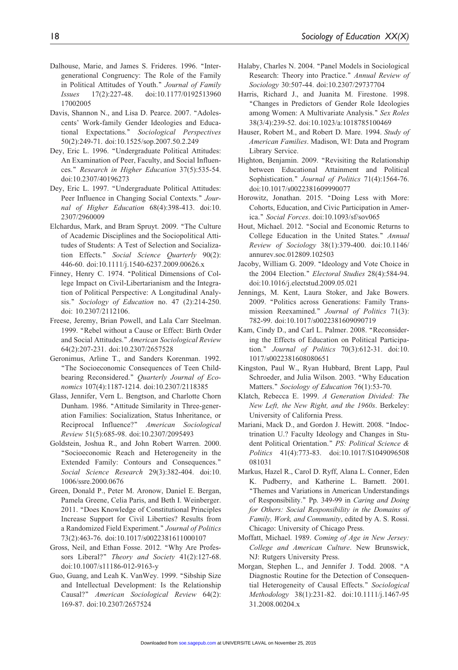- Dalhouse, Marie, and James S. Frideres. 1996. "Intergenerational Congruency: The Role of the Family in Political Attitudes of Youth." Journal of Family Issues 17(2):227-48. doi:10.1177/0192513960 17002005
- Davis, Shannon N., and Lisa D. Pearce. 2007. "Adolescents' Work-family Gender Ideologies and Educational Expectations.'' Sociological Perspectives 50(2):249-71. doi:10.1525/sop.2007.50.2.249
- Dey, Eric L. 1996. "Undergraduate Political Attitudes: An Examination of Peer, Faculty, and Social Influences.'' Research in Higher Education 37(5):535-54. doi:10.2307/40196273
- Dey, Eric L. 1997. "Undergraduate Political Attitudes: Peer Influence in Changing Social Contexts." Journal of Higher Education 68(4):398-413. doi:10. 2307/2960009
- Elchardus, Mark, and Bram Spruyt. 2009. ''The Culture of Academic Disciplines and the Sociopolitical Attitudes of Students: A Test of Selection and Socialization Effects.'' Social Science Quarterly 90(2): 446-60. doi:10.1111/j.1540-6237.2009.00626.x
- Finney, Henry C. 1974. "Political Dimensions of College Impact on Civil-Libertarianism and the Integration of Political Perspective: A Longitudinal Analysis.'' Sociology of Education no. 47 (2):214-250. doi: 10.2307/2112106.
- Freese, Jeremy, Brian Powell, and Lala Carr Steelman. 1999. "Rebel without a Cause or Effect: Birth Order and Social Attitudes.'' American Sociological Review 64(2):207-231. doi:10.2307/2657528
- Geronimus, Arline T., and Sanders Korenman. 1992. ''The Socioeconomic Consequences of Teen Childbearing Reconsidered." *Ouarterly Journal of Eco*nomics 107(4):1187-1214. doi:10.2307/2118385
- Glass, Jennifer, Vern L. Bengtson, and Charlotte Chorn Dunham. 1986. "Attitude Similarity in Three-generation Families: Socialization, Status Inheritance, or Reciprocal Influence?'' American Sociological Review 51(5):685-98. doi:10.2307/2095493
- Goldstein, Joshua R., and John Robert Warren. 2000. ''Socioeconomic Reach and Heterogeneity in the Extended Family: Contours and Consequences.'' Social Science Research 29(3):382-404. doi:10. 1006/ssre.2000.0676
- Green, Donald P., Peter M. Aronow, Daniel E. Bergan, Pamela Greene, Celia Paris, and Beth I. Weinberger. 2011. ''Does Knowledge of Constitutional Principles Increase Support for Civil Liberties? Results from a Randomized Field Experiment.'' Journal of Politics 73(2):463-76. doi:10.1017/s0022381611000107
- Gross, Neil, and Ethan Fosse. 2012. ''Why Are Professors Liberal?" Theory and Society 41(2):127-68. doi:10.1007/s11186-012-9163-y
- Guo, Guang, and Leah K. VanWey. 1999. "Sibship Size and Intellectual Development: Is the Relationship Causal?'' American Sociological Review 64(2): 169-87. doi:10.2307/2657524
- Halaby, Charles N. 2004. "Panel Models in Sociological Research: Theory into Practice." Annual Review of Sociology 30:507-44. doi:10.2307/29737704
- Harris, Richard J., and Juanita M. Firestone. 1998. ''Changes in Predictors of Gender Role Ideologies among Women: A Multivariate Analysis.'' Sex Roles 38(3/4):239-52. doi:10.1023/a:1018785100469
- Hauser, Robert M., and Robert D. Mare. 1994. Study of American Families. Madison, WI: Data and Program Library Service.
- Highton, Benjamin. 2009. "Revisiting the Relationship between Educational Attainment and Political Sophistication." Journal of Politics 71(4):1564-76. doi:10.1017/s0022381609990077
- Horowitz, Jonathan. 2015. "Doing Less with More: Cohorts, Education, and Civic Participation in America.'' Social Forces. doi:10.1093/sf/sov065
- Hout, Michael. 2012. "Social and Economic Returns to College Education in the United States.'' Annual Review of Sociology 38(1):379-400. doi:10.1146/ annurev.soc.012809.102503
- Jacoby, William G. 2009. ''Ideology and Vote Choice in the 2004 Election." Electoral Studies 28(4):584-94. doi:10.1016/j.electstud.2009.05.021
- Jennings, M. Kent, Laura Stoker, and Jake Bowers. 2009. "Politics across Generations: Family Transmission Reexamined.'' Journal of Politics 71(3): 782-99. doi:10.1017/s0022381609090719
- Kam, Cindy D., and Carl L. Palmer. 2008. "Reconsidering the Effects of Education on Political Participation.'' Journal of Politics 70(3):612-31. doi:10. 1017/s0022381608080651
- Kingston, Paul W., Ryan Hubbard, Brent Lapp, Paul Schroeder, and Julia Wilson. 2003. "Why Education Matters." Sociology of Education 76(1):53-70.
- Klatch, Rebecca E. 1999. A Generation Divided: The New Left, the New Right, and the 1960s. Berkeley: University of California Press.
- Mariani, Mack D., and Gordon J. Hewitt. 2008. "Indoctrination U.? Faculty Ideology and Changes in Student Political Orientation.'' PS: Political Science & Politics 41(4):773-83. doi:10.1017/S1049096508 081031
- Markus, Hazel R., Carol D. Ryff, Alana L. Conner, Eden K. Pudberry, and Katherine L. Barnett. 2001. ''Themes and Variations in American Understandings of Responsibility." Pp. 349-99 in Caring and Doing for Others: Social Responsibility in the Domains of Family, Work, and Community, edited by A. S. Rossi. Chicago: University of Chicago Press.
- Moffatt, Michael. 1989. Coming of Age in New Jersey: College and American Culture. New Brunswick, NJ: Rutgers University Press.
- Morgan, Stephen L., and Jennifer J. Todd. 2008. ''A Diagnostic Routine for the Detection of Consequential Heterogeneity of Causal Effects." Sociological Methodology 38(1):231-82. doi:10.1111/j.1467-95 31.2008.00204.x